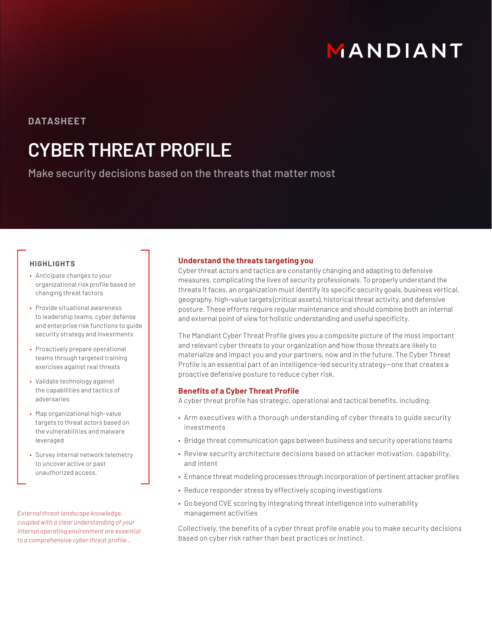# MANDIANT

### **DATASHEET**

## **CYBER THREAT PROFILE**

Make security decisions based on the threats that matter most

#### **HIGHLIGHTS**

- Anticipate changes to your organizational risk profile based on changing threat factors
- Provide situational awareness to leadership teams, cyber defense and enterprise risk functions to guide security strategy and investments
- Proactively prepare operational teams through targeted training exercises against real threats
- Validate technology against the capabilities and tactics of adversaries
- Map organizational high-value targets to threat actors based on the vulnerabilities and malware leveraged
- Survey internal network telemetry to uncover active or past unauthorized access.

*External threat landscape knowledge, coupled with a clear understanding of your internal operating environment are essential to a comprehensive cyber threat profile…*

#### **Understand the threats targeting you**

Cyber threat actors and tactics are constantly changing and adapting to defensive measures, complicating the lives of security professionals. To properly understand the threats it faces, an organization must identify its specific security goals, business vertical, geography, high-value targets (critical assets), historical threat activity, and defensive posture. These efforts require regular maintenance and should combine both an internal and external point of view for holistic understanding and useful specificity.

The Mandiant Cyber Threat Profile gives you a composite picture of the most important and relevant cyber threats to your organization and how those threats are likely to materialize and impact you and your partners, now and in the future. The Cyber Threat Profile is an essential part of an intelligence-led security strategy-one that creates a proactive defensive posture to reduce cyber risk.

#### **Benefits of a Cyber Threat Profile**

A cyber threat profile has strategic, operational and tactical benefits, including:

- Arm executives with a thorough understanding of cyber threats to guide security investments
- Bridge threat communication gaps between business and security operations teams
- Review security architecture decisions based on attacker motivation, capability, and intent
- Enhance threat modeling processes through incorporation of pertinent attacker profiles
- Reduce responder stress by effectively scoping investigations
- Go beyond CVE scoring by integrating threat intelligence into vulnerability management activities

Collectively, the benefits of a cyber threat profile enable you to make security decisions based on cyber risk rather than best practices or instinct.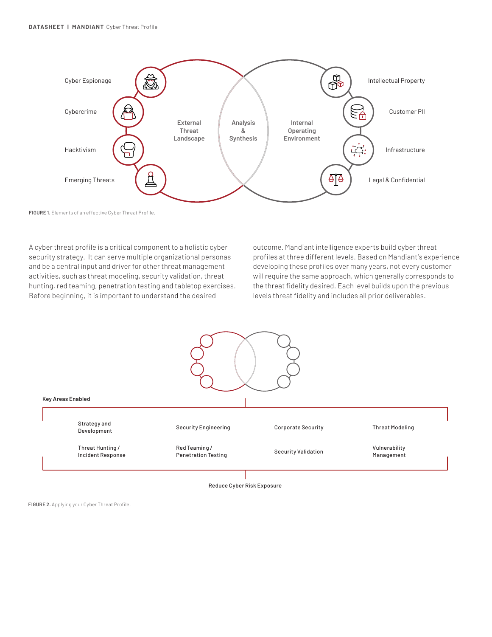

**FIGURE 1.** Elements of an effective Cyber Threat Profile.

A cyber threat profile is a critical component to a holistic cyber security strategy. It can serve multiple organizational personas and be a central input and driver for other threat management activities, such as threat modeling, security validation, threat hunting, red teaming, penetration testing and tabletop exercises. Before beginning, it is important to understand the desired

outcome. Mandiant intelligence experts build cyber threat profiles at three different levels. Based on Mandiant's experience developing these profiles over many years, not every customer will require the same approach, which generally corresponds to the threat fidelity desired. Each level builds upon the previous levels threat fidelity and includes all prior deliverables.



Reduce Cyber Risk Exposure

**FIGURE 2.** Applying your Cyber Threat Profile.